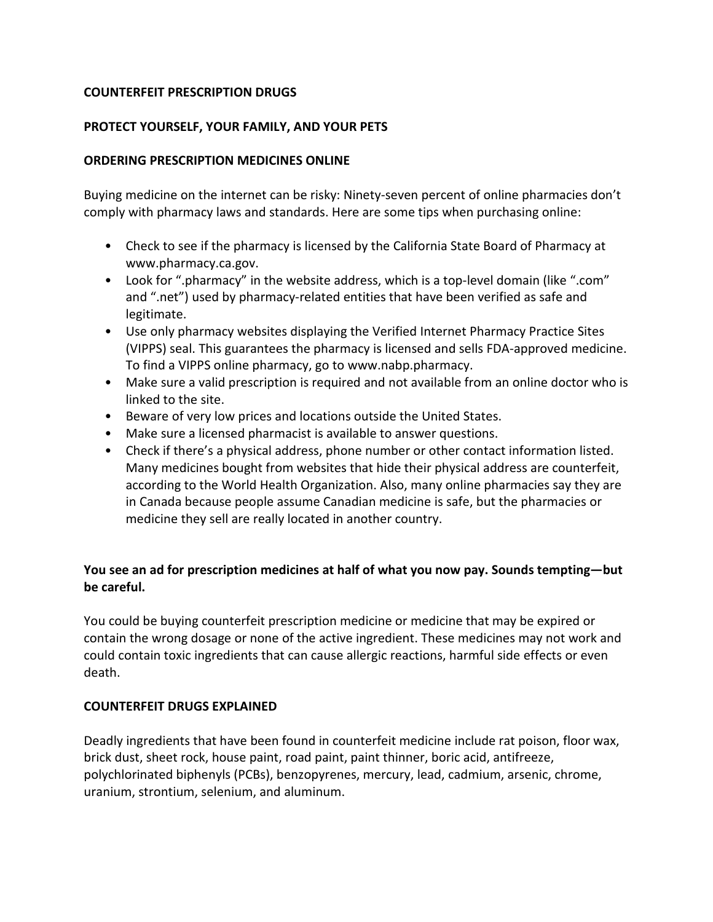## **COUNTERFEIT PRESCRIPTION DRUGS**

## **PROTECT YOURSELF, YOUR FAMILY, AND YOUR PETS**

#### **ORDERING PRESCRIPTION MEDICINES ONLINE**

Buying medicine on the internet can be risky: Ninety-seven percent of online pharmacies don't comply with pharmacy laws and standards. Here are some tips when purchasing online:

- Check to see if the pharmacy is licensed by the California State Board of Pharmacy at www.pharmacy.ca.gov.
- Look for ".pharmacy" in the website address, which is a top-level domain (like ".com" and ".net") used by pharmacy-related entities that have been verified as safe and legitimate.
- Use only pharmacy websites displaying the Verified Internet Pharmacy Practice Sites (VIPPS) seal. This guarantees the pharmacy is licensed and sells FDA-approved medicine. To find a VIPPS online pharmacy, go to www.nabp.pharmacy.
- Make sure a valid prescription is required and not available from an online doctor who is linked to the site.
- Beware of very low prices and locations outside the United States.
- Make sure a licensed pharmacist is available to answer questions.
- Check if there's a physical address, phone number or other contact information listed. Many medicines bought from websites that hide their physical address are counterfeit, according to the World Health Organization. Also, many online pharmacies say they are in Canada because people assume Canadian medicine is safe, but the pharmacies or medicine they sell are really located in another country.

# **You see an ad for prescription medicines at half of what you now pay. Sounds tempting—but be careful.**

You could be buying counterfeit prescription medicine or medicine that may be expired or contain the wrong dosage or none of the active ingredient. These medicines may not work and could contain toxic ingredients that can cause allergic reactions, harmful side effects or even death.

## **COUNTERFEIT DRUGS EXPLAINED**

Deadly ingredients that have been found in counterfeit medicine include rat poison, floor wax, brick dust, sheet rock, house paint, road paint, paint thinner, boric acid, antifreeze, polychlorinated biphenyls (PCBs), benzopyrenes, mercury, lead, cadmium, arsenic, chrome, uranium, strontium, selenium, and aluminum.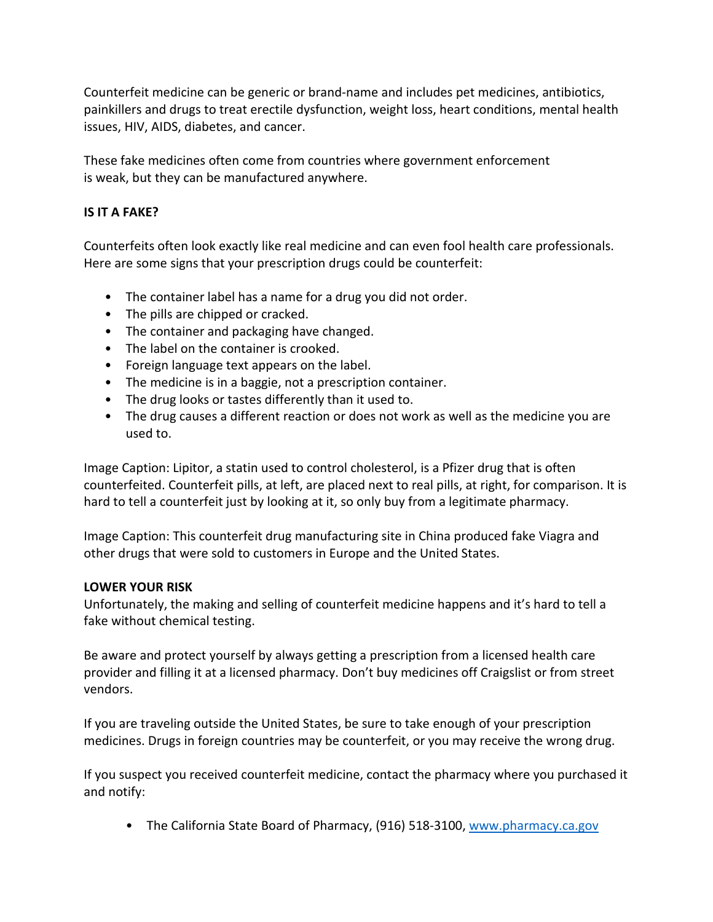Counterfeit medicine can be generic or brand-name and includes pet medicines, antibiotics, painkillers and drugs to treat erectile dysfunction, weight loss, heart conditions, mental health issues, HIV, AIDS, diabetes, and cancer.

These fake medicines often come from countries where government enforcement is weak, but they can be manufactured anywhere.

## **IS IT A FAKE?**

Counterfeits often look exactly like real medicine and can even fool health care professionals. Here are some signs that your prescription drugs could be counterfeit:

- The container label has a name for a drug you did not order.
- The pills are chipped or cracked.
- The container and packaging have changed.
- The label on the container is crooked.
- Foreign language text appears on the label.
- The medicine is in a baggie, not a prescription container.
- The drug looks or tastes differently than it used to.
- The drug causes a different reaction or does not work as well as the medicine you are used to.

Image Caption: Lipitor, a statin used to control cholesterol, is a Pfizer drug that is often counterfeited. Counterfeit pills, at left, are placed next to real pills, at right, for comparison. It is hard to tell a counterfeit just by looking at it, so only buy from a legitimate pharmacy.

Image Caption: This counterfeit drug manufacturing site in China produced fake Viagra and other drugs that were sold to customers in Europe and the United States.

#### **LOWER YOUR RISK**

Unfortunately, the making and selling of counterfeit medicine happens and it's hard to tell a fake without chemical testing.

Be aware and protect yourself by always getting a prescription from a licensed health care provider and filling it at a licensed pharmacy. Don't buy medicines off Craigslist or from street vendors.

If you are traveling outside the United States, be sure to take enough of your prescription medicines. Drugs in foreign countries may be counterfeit, or you may receive the wrong drug.

If you suspect you received counterfeit medicine, contact the pharmacy where you purchased it and notify:

• The California State Board of Pharmacy, (916) 518-3100, [www.pharmacy.ca.gov](http://www.pharmacy.ca.gov/)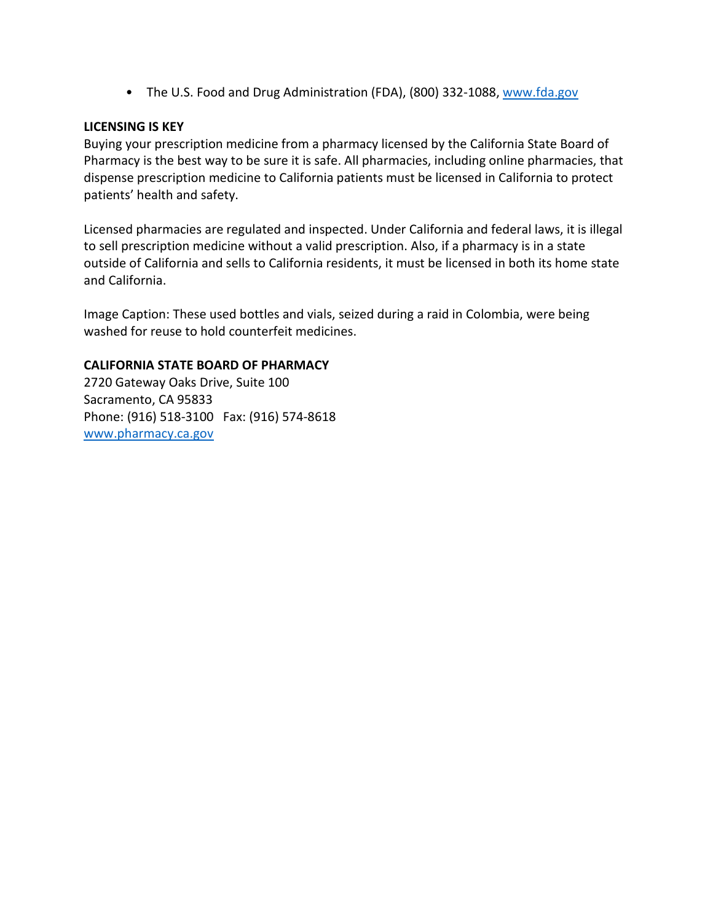• The U.S. Food and Drug Administration (FDA), (800) 332-1088[, www.fda.gov](http://www.fda.gov/)

## **LICENSING IS KEY**

Buying your prescription medicine from a pharmacy licensed by the California State Board of Pharmacy is the best way to be sure it is safe. All pharmacies, including online pharmacies, that dispense prescription medicine to California patients must be licensed in California to protect patients' health and safety.

Licensed pharmacies are regulated and inspected. Under California and federal laws, it is illegal to sell prescription medicine without a valid prescription. Also, if a pharmacy is in a state outside of California and sells to California residents, it must be licensed in both its home state and California.

Image Caption: These used bottles and vials, seized during a raid in Colombia, were being washed for reuse to hold counterfeit medicines.

## **CALIFORNIA STATE BOARD OF PHARMACY**

2720 Gateway Oaks Drive, Suite 100 Sacramento, CA 95833 Phone: (916) 518-3100 Fax: (916) 574-8618 [www.pharmacy.ca.gov](http://www.pharmacy.ca.gov/)